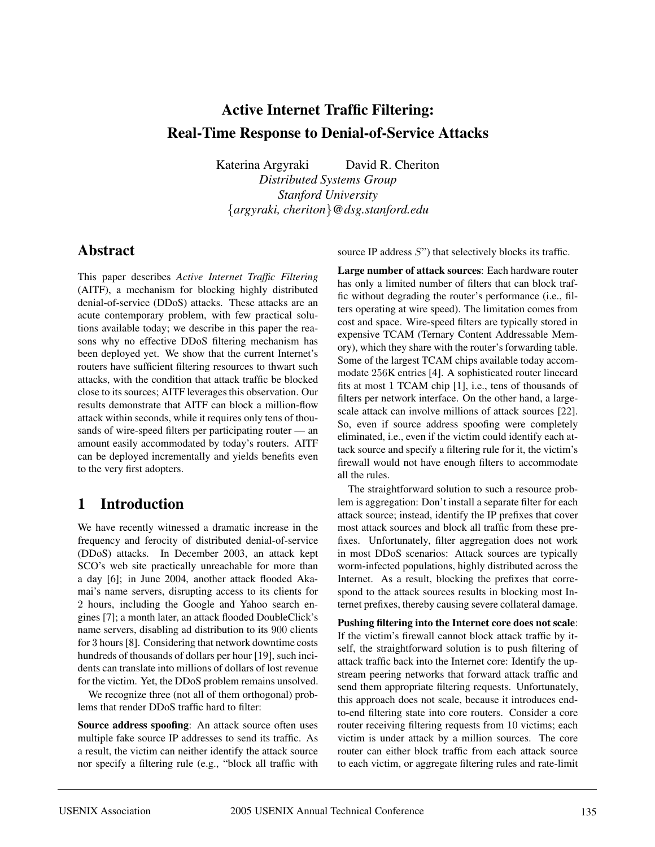# **Active Internet Traffic Filtering: Real-Time Response to Denial-of-Service Attacks**

Katerina Argyraki David R. Cheriton

*Distributed Systems Group Stanford University* {*argyraki, cheriton*}*@dsg.stanford.edu*

## **Abstract**

This paper describes *Active Internet Traffic Filtering* (AITF), a mechanism for blocking highly distributed denial-of-service (DDoS) attacks. These attacks are an acute contemporary problem, with few practical solutions available today; we describe in this paper the reasons why no effective DDoS filtering mechanism has been deployed yet. We show that the current Internet's routers have sufficient filtering resources to thwart such attacks, with the condition that attack traffic be blocked close to its sources; AITF leverages this observation. Our results demonstrate that AITF can block a million-flow attack within seconds, while it requires only tens of thousands of wire-speed filters per participating router — an amount easily accommodated by today's routers. AITF can be deployed incrementally and yields benefits even to the very first adopters.

## **1 Introduction**

We have recently witnessed a dramatic increase in the frequency and ferocity of distributed denial-of-service (DDoS) attacks. In December 2003, an attack kept SCO's web site practically unreachable for more than a day [6]; in June 2004, another attack flooded Akamai's name servers, disrupting access to its clients for 2 hours, including the Google and Yahoo search engines [7]; a month later, an attack flooded DoubleClick's name servers, disabling ad distribution to its 900 clients for 3 hours [8]. Considering that network downtime costs hundreds of thousands of dollars per hour [19], such incidents can translate into millions of dollars of lost revenue for the victim. Yet, the DDoS problem remains unsolved.

We recognize three (not all of them orthogonal) problems that render DDoS traffic hard to filter:

**Source address spoofing**: An attack source often uses multiple fake source IP addresses to send its traffic. As a result, the victim can neither identify the attack source nor specify a filtering rule (e.g., "block all traffic with source IP address S") that selectively blocks its traffic.

**Large number of attack sources**: Each hardware router has only a limited number of filters that can block traffic without degrading the router's performance (i.e., filters operating at wire speed). The limitation comes from cost and space. Wire-speed filters are typically stored in expensive TCAM (Ternary Content Addressable Memory), which they share with the router's forwarding table. Some of the largest TCAM chips available today accommodate 256K entries [4]. A sophisticated router linecard fits at most 1 TCAM chip [1], i.e., tens of thousands of filters per network interface. On the other hand, a largescale attack can involve millions of attack sources [22]. So, even if source address spoofing were completely eliminated, i.e., even if the victim could identify each attack source and specify a filtering rule for it, the victim's firewall would not have enough filters to accommodate all the rules.

The straightforward solution to such a resource problem is aggregation: Don't install a separate filter for each attack source; instead, identify the IP prefixes that cover most attack sources and block all traffic from these prefixes. Unfortunately, filter aggregation does not work in most DDoS scenarios: Attack sources are typically worm-infected populations, highly distributed across the Internet. As a result, blocking the prefixes that correspond to the attack sources results in blocking most Internet prefixes, thereby causing severe collateral damage.

**Pushing filtering into the Internet core does not scale**: If the victim's firewall cannot block attack traffic by itself, the straightforward solution is to push filtering of attack traffic back into the Internet core: Identify the upstream peering networks that forward attack traffic and send them appropriate filtering requests. Unfortunately, this approach does not scale, because it introduces endto-end filtering state into core routers. Consider a core router receiving filtering requests from 10 victims; each victim is under attack by a million sources. The core router can either block traffic from each attack source to each victim, or aggregate filtering rules and rate-limit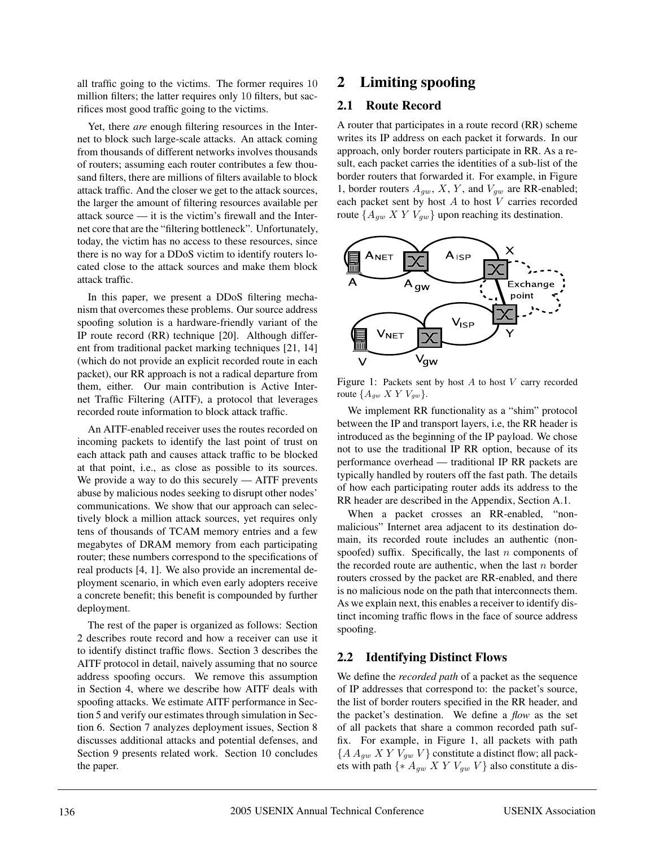all traffic going to the victims. The former requires 10 million filters; the latter requires only 10 filters, but sacrifices most good traffic going to the victims.

Yet, there *are* enough filtering resources in the Internet to block such large-scale attacks. An attack coming from thousands of different networks involves thousands of routers; assuming each router contributes a few thousand filters, there are millions of filters available to block attack traffic. And the closer we get to the attack sources, the larger the amount of filtering resources available per attack source — it is the victim's firewall and the Internet core that are the "filtering bottleneck". Unfortunately, today, the victim has no access to these resources, since there is no way for a DDoS victim to identify routers located close to the attack sources and make them block attack traffic.

In this paper, we present a DDoS filtering mechanism that overcomes these problems. Our source address spoofing solution is a hardware-friendly variant of the IP route record (RR) technique [20]. Although different from traditional packet marking techniques [21, 14] (which do not provide an explicit recorded route in each packet), our RR approach is not a radical departure from them, either. Our main contribution is Active Internet Traffic Filtering (AITF), a protocol that leverages recorded route information to block attack traffic.

An AITF-enabled receiver uses the routes recorded on incoming packets to identify the last point of trust on each attack path and causes attack traffic to be blocked at that point, i.e., as close as possible to its sources. We provide a way to do this securely  $-$  AITF prevents abuse by malicious nodes seeking to disrupt other nodes' communications. We show that our approach can selectively block a million attack sources, yet requires only tens of thousands of TCAM memory entries and a few megabytes of DRAM memory from each participating router; these numbers correspond to the specifications of real products [4, 1]. We also provide an incremental deployment scenario, in which even early adopters receive a concrete benefit; this benefit is compounded by further deployment.

The rest of the paper is organized as follows: Section 2 describes route record and how a receiver can use it to identify distinct traffic flows. Section 3 describes the AITF protocol in detail, naively assuming that no source address spoofing occurs. We remove this assumption in Section 4, where we describe how AITF deals with spoofing attacks. We estimate AITF performance in Section 5 and verify our estimates through simulation in Section 6. Section 7 analyzes deployment issues, Section 8 discusses additional attacks and potential defenses, and Section 9 presents related work. Section 10 concludes the paper.

## **2 Limiting spoofing**

#### **2.1 Route Record**

A router that participates in a route record (RR) scheme writes its IP address on each packet it forwards. In our approach, only border routers participate in RR. As a result, each packet carries the identities of a sub-list of the border routers that forwarded it. For example, in Figure 1, border routers  $A_{qw}$ , X, Y, and  $V_{qw}$  are RR-enabled; each packet sent by host  $A$  to host  $V$  carries recorded route  $\{A_{qw}$  X Y  $V_{qw}$  upon reaching its destination.



Figure 1: Packets sent by host  $A$  to host  $V$  carry recorded route  $\{A_{gw} X Y V_{gw}\}.$ 

We implement RR functionality as a "shim" protocol between the IP and transport layers, i.e, the RR header is introduced as the beginning of the IP payload. We chose not to use the traditional IP RR option, because of its performance overhead — traditional IP RR packets are typically handled by routers off the fast path. The details of how each participating router adds its address to the RR header are described in the Appendix, Section A.1.

When a packet crosses an RR-enabled, "nonmalicious" Internet area adjacent to its destination domain, its recorded route includes an authentic (nonspoofed) suffix. Specifically, the last  $n$  components of the recorded route are authentic, when the last  $n$  border routers crossed by the packet are RR-enabled, and there is no malicious node on the path that interconnects them. As we explain next, this enables a receiver to identify distinct incoming traffic flows in the face of source address spoofing.

### **2.2 Identifying Distinct Flows**

We define the *recorded path* of a packet as the sequence of IP addresses that correspond to: the packet's source, the list of border routers specified in the RR header, and the packet's destination. We define a *flow* as the set of all packets that share a common recorded path suffix. For example, in Figure 1, all packets with path  ${A A_{qw} X Y V_{qw} V}$  constitute a distinct flow; all packets with path  $\{ * A_{qw} X Y V_{qw} V \}$  also constitute a dis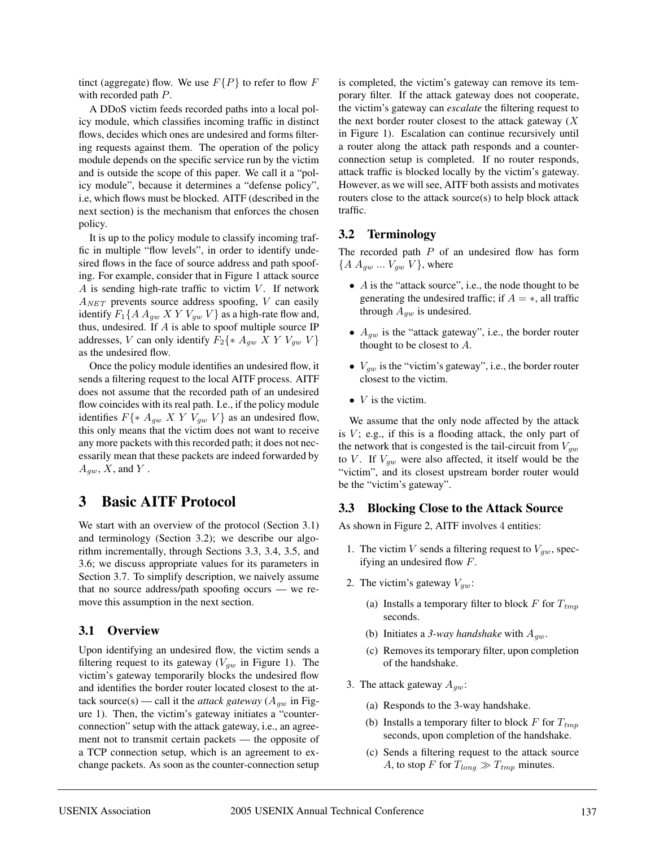tinct (aggregate) flow. We use  $F\{P\}$  to refer to flow F with recorded path P.

A DDoS victim feeds recorded paths into a local policy module, which classifies incoming traffic in distinct flows, decides which ones are undesired and forms filtering requests against them. The operation of the policy module depends on the specific service run by the victim and is outside the scope of this paper. We call it a "policy module", because it determines a "defense policy", i.e, which flows must be blocked. AITF (described in the next section) is the mechanism that enforces the chosen policy.

It is up to the policy module to classify incoming traffic in multiple "flow levels", in order to identify undesired flows in the face of source address and path spoofing. For example, consider that in Figure 1 attack source A is sending high-rate traffic to victim  $V$ . If network  $A_{NET}$  prevents source address spoofing, V can easily identify  $F_1\{A\ A_{qw}\ X\ Y\ V_{qw}\ V\}$  as a high-rate flow and, thus, undesired. If  $A$  is able to spoof multiple source IP addresses, V can only identify  $F_2\{ * A_{qw} \mid X \mid Y \mid V_{qw} \mid V \}$ as the undesired flow.

Once the policy module identifies an undesired flow, it sends a filtering request to the local AITF process. AITF does not assume that the recorded path of an undesired flow coincides with its real path. I.e., if the policy module identifies  $F\{* A_{qw} \mid X \mid Y \mid V_{qw} \mid V\}$  as an undesired flow, this only means that the victim does not want to receive any more packets with this recorded path; it does not necessarily mean that these packets are indeed forwarded by  $A_{gw}$ ,  $X$ , and  $Y$ .

## **3 Basic AITF Protocol**

We start with an overview of the protocol (Section 3.1) and terminology (Section 3.2); we describe our algorithm incrementally, through Sections 3.3, 3.4, 3.5, and 3.6; we discuss appropriate values for its parameters in Section 3.7. To simplify description, we naively assume that no source address/path spoofing occurs — we remove this assumption in the next section.

### **3.1 Overview**

Upon identifying an undesired flow, the victim sends a filtering request to its gateway ( $V_{qw}$  in Figure 1). The victim's gateway temporarily blocks the undesired flow and identifies the border router located closest to the attack source(s) — call it the *attack gateway* ( $A_{gw}$  in Figure 1). Then, the victim's gateway initiates a "counterconnection" setup with the attack gateway, i.e., an agreement not to transmit certain packets — the opposite of a TCP connection setup, which is an agreement to exchange packets. As soon as the counter-connection setup

is completed, the victim's gateway can remove its temporary filter. If the attack gateway does not cooperate, the victim's gateway can *escalate* the filtering request to the next border router closest to the attack gateway  $(X)$ in Figure 1). Escalation can continue recursively until a router along the attack path responds and a counterconnection setup is completed. If no router responds, attack traffic is blocked locally by the victim's gateway. However, as we will see, AITF both assists and motivates routers close to the attack source(s) to help block attack traffic.

### **3.2 Terminology**

The recorded path  $P$  of an undesired flow has form  $\{A A_{qw} ... V_{qw} V\}$ , where

- A is the "attack source", i.e., the node thought to be generating the undesired traffic; if  $A = *$ , all traffic through  $A_{gw}$  is undesired.
- $A_{qw}$  is the "attack gateway", i.e., the border router thought to be closest to A.
- $V_{gw}$  is the "victim's gateway", i.e., the border router closest to the victim.
- $V$  is the victim.

We assume that the only node affected by the attack is  $V$ ; e.g., if this is a flooding attack, the only part of the network that is congested is the tail-circuit from  $V_{gw}$ to V. If  $V_{gw}$  were also affected, it itself would be the "victim", and its closest upstream border router would be the "victim's gateway".

### **3.3 Blocking Close to the Attack Source**

As shown in Figure 2, AITF involves 4 entities:

- 1. The victim V sends a filtering request to  $V_{gw}$ , specifying an undesired flow F.
- 2. The victim's gateway  $V_{gw}$ :
	- (a) Installs a temporary filter to block F for  $T_{tmp}$ seconds.
	- (b) Initiates a 3-way handshake with  $A_{qw}$ .
	- (c) Removes its temporary filter, upon completion of the handshake.
- 3. The attack gateway  $A_{gw}$ :
	- (a) Responds to the 3-way handshake.
	- (b) Installs a temporary filter to block  $F$  for  $T_{tmp}$ seconds, upon completion of the handshake.
	- (c) Sends a filtering request to the attack source A, to stop F for  $T_{long} \gg T_{tmp}$  minutes.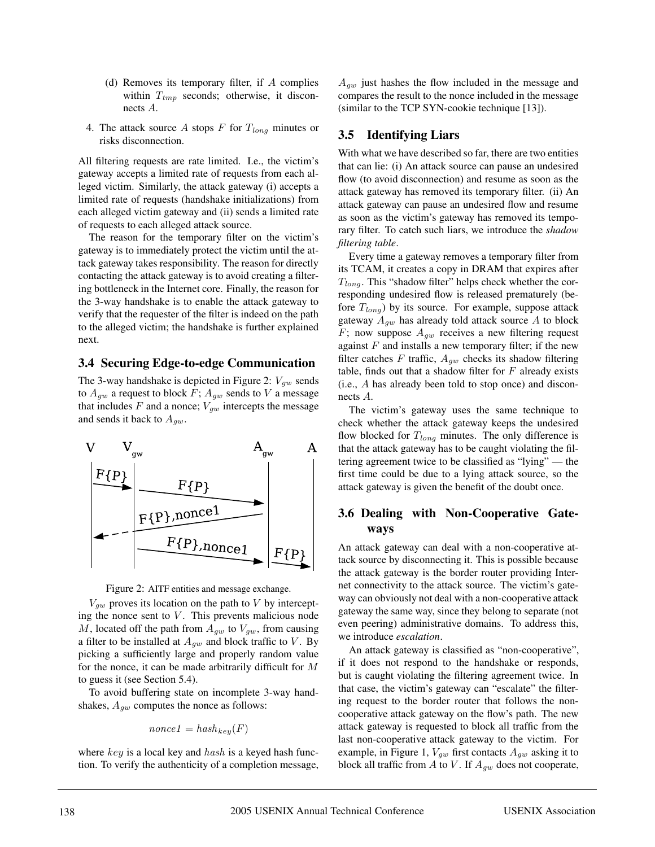- (d) Removes its temporary filter, if  $A$  complies within  $T_{tmp}$  seconds; otherwise, it disconnects A.
- 4. The attack source A stops F for  $T_{long}$  minutes or risks disconnection.

All filtering requests are rate limited. I.e., the victim's gateway accepts a limited rate of requests from each alleged victim. Similarly, the attack gateway (i) accepts a limited rate of requests (handshake initializations) from each alleged victim gateway and (ii) sends a limited rate of requests to each alleged attack source.

The reason for the temporary filter on the victim's gateway is to immediately protect the victim until the attack gateway takes responsibility. The reason for directly contacting the attack gateway is to avoid creating a filtering bottleneck in the Internet core. Finally, the reason for the 3-way handshake is to enable the attack gateway to verify that the requester of the filter is indeed on the path to the alleged victim; the handshake is further explained next.

#### **3.4 Securing Edge-to-edge Communication**

The 3-way handshake is depicted in Figure 2:  $V_{qw}$  sends to  $A_{qw}$  a request to block F;  $A_{qw}$  sends to V a message that includes F and a nonce;  $V_{gw}$  intercepts the message and sends it back to  $A_{qw}$ .





 $V_{gw}$  proves its location on the path to V by intercepting the nonce sent to  $V$ . This prevents malicious node M, located off the path from  $A_{qw}$  to  $V_{qw}$ , from causing a filter to be installed at  $A_{gw}$  and block traffic to V. By picking a sufficiently large and properly random value for the nonce, it can be made arbitrarily difficult for M to guess it (see Section 5.4).

To avoid buffering state on incomplete 3-way handshakes,  $A_{gw}$  computes the nonce as follows:

$$
nonce1 = hash_{key}(F)
$$

where  $key$  is a local key and  $hash$  is a keyed hash function. To verify the authenticity of a completion message,  $A_{qw}$  just hashes the flow included in the message and compares the result to the nonce included in the message (similar to the TCP SYN-cookie technique [13]).

### **3.5 Identifying Liars**

With what we have described so far, there are two entities that can lie: (i) An attack source can pause an undesired flow (to avoid disconnection) and resume as soon as the attack gateway has removed its temporary filter. (ii) An attack gateway can pause an undesired flow and resume as soon as the victim's gateway has removed its temporary filter. To catch such liars, we introduce the *shadow filtering table*.

Every time a gateway removes a temporary filter from its TCAM, it creates a copy in DRAM that expires after  $T_{long}$ . This "shadow filter" helps check whether the corresponding undesired flow is released prematurely (before  $T_{long}$ ) by its source. For example, suppose attack gateway  $A_{qw}$  has already told attack source A to block F; now suppose  $A_{qw}$  receives a new filtering request against  $F$  and installs a new temporary filter; if the new filter catches F traffic,  $A_{qw}$  checks its shadow filtering table, finds out that a shadow filter for  $F$  already exists (i.e., A has already been told to stop once) and disconnects A.

The victim's gateway uses the same technique to check whether the attack gateway keeps the undesired flow blocked for  $T_{long}$  minutes. The only difference is that the attack gateway has to be caught violating the filtering agreement twice to be classified as "lying" — the first time could be due to a lying attack source, so the attack gateway is given the benefit of the doubt once.

## **3.6 Dealing with Non-Cooperative Gateways**

An attack gateway can deal with a non-cooperative attack source by disconnecting it. This is possible because the attack gateway is the border router providing Internet connectivity to the attack source. The victim's gateway can obviously not deal with a non-cooperative attack gateway the same way, since they belong to separate (not even peering) administrative domains. To address this, we introduce *escalation*.

An attack gateway is classified as "non-cooperative", if it does not respond to the handshake or responds, but is caught violating the filtering agreement twice. In that case, the victim's gateway can "escalate" the filtering request to the border router that follows the noncooperative attack gateway on the flow's path. The new attack gateway is requested to block all traffic from the last non-cooperative attack gateway to the victim. For example, in Figure 1,  $V_{gw}$  first contacts  $A_{gw}$  asking it to block all traffic from A to V. If  $A_{gw}$  does not cooperate,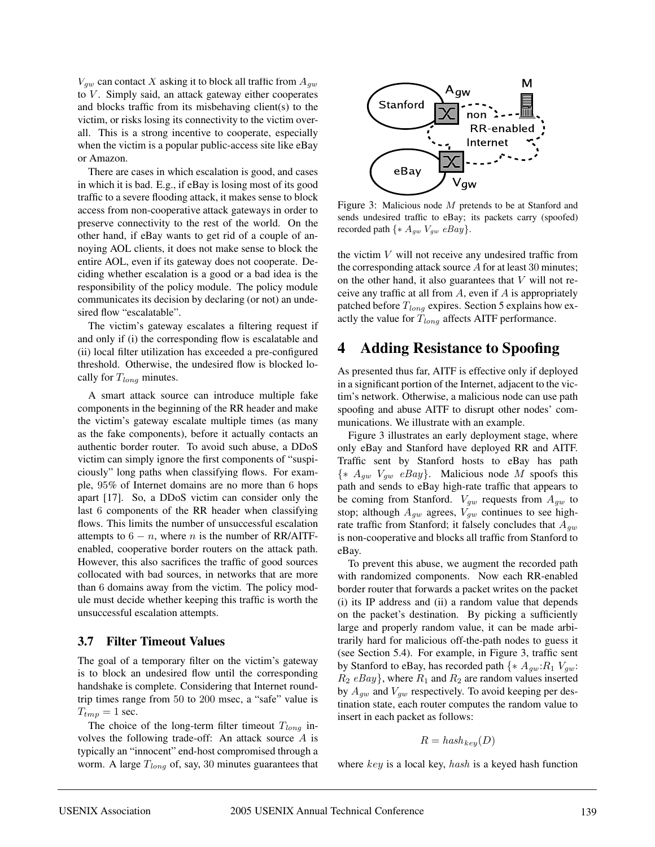$V_{gw}$  can contact X asking it to block all traffic from  $A_{gw}$ to  $V$ . Simply said, an attack gateway either cooperates and blocks traffic from its misbehaving client(s) to the victim, or risks losing its connectivity to the victim overall. This is a strong incentive to cooperate, especially when the victim is a popular public-access site like eBay or Amazon.

There are cases in which escalation is good, and cases in which it is bad. E.g., if eBay is losing most of its good traffic to a severe flooding attack, it makes sense to block access from non-cooperative attack gateways in order to preserve connectivity to the rest of the world. On the other hand, if eBay wants to get rid of a couple of annoying AOL clients, it does not make sense to block the entire AOL, even if its gateway does not cooperate. Deciding whether escalation is a good or a bad idea is the responsibility of the policy module. The policy module communicates its decision by declaring (or not) an undesired flow "escalatable".

The victim's gateway escalates a filtering request if and only if (i) the corresponding flow is escalatable and (ii) local filter utilization has exceeded a pre-configured threshold. Otherwise, the undesired flow is blocked locally for  $T_{long}$  minutes.

A smart attack source can introduce multiple fake components in the beginning of the RR header and make the victim's gateway escalate multiple times (as many as the fake components), before it actually contacts an authentic border router. To avoid such abuse, a DDoS victim can simply ignore the first components of "suspiciously" long paths when classifying flows. For example, 95% of Internet domains are no more than 6 hops apart [17]. So, a DDoS victim can consider only the last 6 components of the RR header when classifying flows. This limits the number of unsuccessful escalation attempts to  $6 - n$ , where *n* is the number of RR/AITFenabled, cooperative border routers on the attack path. However, this also sacrifices the traffic of good sources collocated with bad sources, in networks that are more than 6 domains away from the victim. The policy module must decide whether keeping this traffic is worth the unsuccessful escalation attempts.

### **3.7 Filter Timeout Values**

The goal of a temporary filter on the victim's gateway is to block an undesired flow until the corresponding handshake is complete. Considering that Internet roundtrip times range from 50 to 200 msec, a "safe" value is  $T_{tmp} = 1$  sec.

The choice of the long-term filter timeout  $T_{long}$  involves the following trade-off: An attack source A is typically an "innocent" end-host compromised through a worm. A large  $T_{long}$  of, say, 30 minutes guarantees that



Figure 3: Malicious node M pretends to be at Stanford and sends undesired traffic to eBay; its packets carry (spoofed) recorded path  $\{ * A_{gw} V_{gw} eBay \}.$ 

the victim  $V$  will not receive any undesired traffic from the corresponding attack source A for at least 30 minutes; on the other hand, it also guarantees that  $V$  will not receive any traffic at all from  $A$ , even if  $A$  is appropriately patched before  $T_{long}$  expires. Section 5 explains how exactly the value for  $T_{long}$  affects AITF performance.

## **4 Adding Resistance to Spoofing**

As presented thus far, AITF is effective only if deployed in a significant portion of the Internet, adjacent to the victim's network. Otherwise, a malicious node can use path spoofing and abuse AITF to disrupt other nodes' communications. We illustrate with an example.

Figure 3 illustrates an early deployment stage, where only eBay and Stanford have deployed RR and AITF. Traffic sent by Stanford hosts to eBay has path  $\{ * A_{qw} \; V_{qw} \; eBay \}.$  Malicious node M spoofs this path and sends to eBay high-rate traffic that appears to be coming from Stanford.  $V_{gw}$  requests from  $A_{gw}$  to stop; although  $A_{qw}$  agrees,  $V_{qw}$  continues to see highrate traffic from Stanford; it falsely concludes that  $A_{gw}$ is non-cooperative and blocks all traffic from Stanford to eBay.

To prevent this abuse, we augment the recorded path with randomized components. Now each RR-enabled border router that forwards a packet writes on the packet (i) its IP address and (ii) a random value that depends on the packet's destination. By picking a sufficiently large and properly random value, it can be made arbitrarily hard for malicious off-the-path nodes to guess it (see Section 5.4). For example, in Figure 3, traffic sent by Stanford to eBay, has recorded path  $\{ * A_{aw}: R_1 \, V_{aw} :$  $R_2$  eBay}, where  $R_1$  and  $R_2$  are random values inserted by  $A_{qw}$  and  $V_{qw}$  respectively. To avoid keeping per destination state, each router computes the random value to insert in each packet as follows:

$$
R = hash_{key}(D)
$$

where  $key$  is a local key, hash is a keyed hash function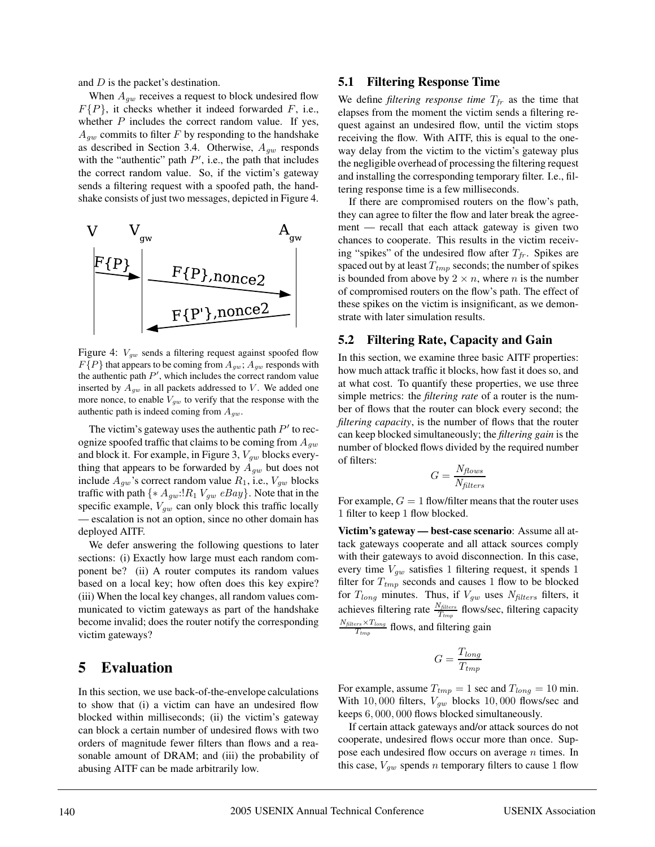and D is the packet's destination.

When  $A_{qw}$  receives a request to block undesired flow  $F{P}$ , it checks whether it indeed forwarded F, i.e., whether  $P$  includes the correct random value. If yes,  $A_{qw}$  commits to filter F by responding to the handshake as described in Section 3.4. Otherwise,  $A_{gw}$  responds with the "authentic" path  $P'$ , i.e., the path that includes the correct random value. So, if the victim's gateway sends a filtering request with a spoofed path, the handshake consists of just two messages, depicted in Figure 4.



Figure 4:  $V_{gw}$  sends a filtering request against spoofed flow  $F{P}$  that appears to be coming from  $A_{gw}$ ;  $A_{gw}$  responds with the authentic path  $P'$ , which includes the correct random value inserted by  $A_{gw}$  in all packets addressed to V. We added one more nonce, to enable  $V_{gw}$  to verify that the response with the authentic path is indeed coming from  $A_{gw}$ .

The victim's gateway uses the authentic path  $P'$  to recognize spoofed traffic that claims to be coming from  $A_{qw}$ and block it. For example, in Figure 3,  $V_{gw}$  blocks everything that appears to be forwarded by  $A_{gw}$  but does not include  $A_{gw}$ 's correct random value  $R_1$ , i.e.,  $V_{gw}$  blocks traffic with path  $\{ * A_{gw}: R_1 V_{gw} eBay \}$ . Note that in the specific example,  $V_{gw}$  can only block this traffic locally — escalation is not an option, since no other domain has deployed AITF.

We defer answering the following questions to later sections: (i) Exactly how large must each random component be? (ii) A router computes its random values based on a local key; how often does this key expire? (iii) When the local key changes, all random values communicated to victim gateways as part of the handshake become invalid; does the router notify the corresponding victim gateways?

## **5 Evaluation**

In this section, we use back-of-the-envelope calculations to show that (i) a victim can have an undesired flow blocked within milliseconds; (ii) the victim's gateway can block a certain number of undesired flows with two orders of magnitude fewer filters than flows and a reasonable amount of DRAM; and (iii) the probability of abusing AITF can be made arbitrarily low.

#### **5.1 Filtering Response Time**

We define *filtering response time*  $T_{fr}$  as the time that elapses from the moment the victim sends a filtering request against an undesired flow, until the victim stops receiving the flow. With AITF, this is equal to the oneway delay from the victim to the victim's gateway plus the negligible overhead of processing the filtering request and installing the corresponding temporary filter. I.e., filtering response time is a few milliseconds.

If there are compromised routers on the flow's path, they can agree to filter the flow and later break the agreement — recall that each attack gateway is given two chances to cooperate. This results in the victim receiving "spikes" of the undesired flow after  $T_{fr}$ . Spikes are spaced out by at least  $T_{tmp}$  seconds; the number of spikes is bounded from above by  $2 \times n$ , where *n* is the number of compromised routers on the flow's path. The effect of these spikes on the victim is insignificant, as we demonstrate with later simulation results.

#### **5.2 Filtering Rate, Capacity and Gain**

In this section, we examine three basic AITF properties: how much attack traffic it blocks, how fast it does so, and at what cost. To quantify these properties, we use three simple metrics: the *filtering rate* of a router is the number of flows that the router can block every second; the *filtering capacity*, is the number of flows that the router can keep blocked simultaneously; the *filtering gain* is the number of blocked flows divided by the required number of filters:

$$
G = \frac{N_{flows}}{N_{filters}}
$$

For example,  $G = 1$  flow/filter means that the router uses 1 filter to keep 1 flow blocked.

**Victim's gateway — best-case scenario**: Assume all attack gateways cooperate and all attack sources comply with their gateways to avoid disconnection. In this case, every time  $V_{qw}$  satisfies 1 filtering request, it spends 1 filter for  $T_{tmp}$  seconds and causes 1 flow to be blocked for  $T_{long}$  minutes. Thus, if  $V_{gw}$  uses  $N_{filters}$  filters, it achieves filtering rate  $\frac{N_{filters}}{T_{tmp}}$  flows/sec, filtering capacity  $\frac{N_{\text{filters}} \times T_{\text{long}}}{T_{\text{tmp}}}$  flows, and filtering gain

$$
G = \frac{T_{long}}{T_{tmp}}
$$

For example, assume  $T_{tmp} = 1$  sec and  $T_{long} = 10$  min. With 10,000 filters,  $V_{qw}$  blocks 10,000 flows/sec and keeps 6, 000, 000 flows blocked simultaneously.

If certain attack gateways and/or attack sources do not cooperate, undesired flows occur more than once. Suppose each undesired flow occurs on average  $n$  times. In this case,  $V_{qw}$  spends *n* temporary filters to cause 1 flow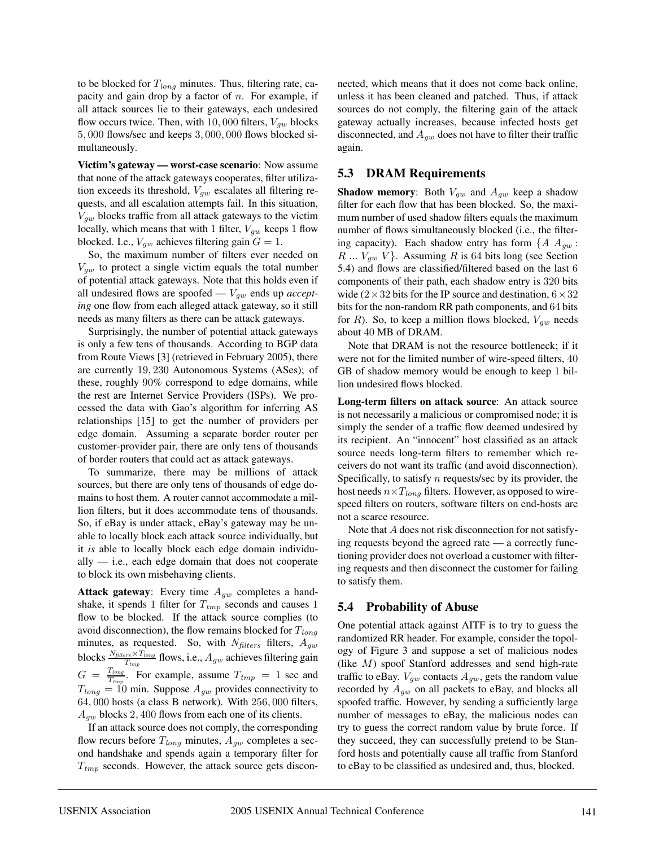to be blocked for  $T_{long}$  minutes. Thus, filtering rate, capacity and gain drop by a factor of  $n$ . For example, if all attack sources lie to their gateways, each undesired flow occurs twice. Then, with 10,000 filters,  $V_{qw}$  blocks 5, 000 flows/sec and keeps 3, 000, 000 flows blocked simultaneously.

**Victim's gateway — worst-case scenario**: Now assume that none of the attack gateways cooperates, filter utilization exceeds its threshold,  $V_{gw}$  escalates all filtering requests, and all escalation attempts fail. In this situation,  $V_{qw}$  blocks traffic from all attack gateways to the victim locally, which means that with 1 filter,  $V_{qw}$  keeps 1 flow blocked. I.e.,  $V_{gw}$  achieves filtering gain  $G = 1$ .

So, the maximum number of filters ever needed on  $V_{gw}$  to protect a single victim equals the total number of potential attack gateways. Note that this holds even if all undesired flows are spoofed  $-V_{gw}$  ends up *accepting* one flow from each alleged attack gateway, so it still needs as many filters as there can be attack gateways.

Surprisingly, the number of potential attack gateways is only a few tens of thousands. According to BGP data from Route Views [3] (retrieved in February 2005), there are currently 19, 230 Autonomous Systems (ASes); of these, roughly 90% correspond to edge domains, while the rest are Internet Service Providers (ISPs). We processed the data with Gao's algorithm for inferring AS relationships [15] to get the number of providers per edge domain. Assuming a separate border router per customer-provider pair, there are only tens of thousands of border routers that could act as attack gateways.

To summarize, there may be millions of attack sources, but there are only tens of thousands of edge domains to host them. A router cannot accommodate a million filters, but it does accommodate tens of thousands. So, if eBay is under attack, eBay's gateway may be unable to locally block each attack source individually, but it *is* able to locally block each edge domain individually  $-$  i.e., each edge domain that does not cooperate to block its own misbehaving clients.

**Attack gateway**: Every time  $A_{qw}$  completes a handshake, it spends 1 filter for  $T_{tmp}$  seconds and causes 1 flow to be blocked. If the attack source complies (to avoid disconnection), the flow remains blocked for  $T_{long}$ minutes, as requested. So, with  $N_{filters}$  filters,  $A_{gw}$ blocks  $\frac{N_{filters} \times T_{long}}{T_{tmp}}$  flows, i.e.,  $A_{gw}$  achieves filtering gain  $G = \frac{T_{long}}{T_{tmp}}$ . For example, assume  $T_{tmp} = 1$  sec and  $T_{long} = 10$  min. Suppose  $A_{gw}$  provides connectivity to 64, 000 hosts (a class B network). With 256, 000 filters,  $A_{qw}$  blocks 2, 400 flows from each one of its clients.

If an attack source does not comply, the corresponding flow recurs before  $T_{long}$  minutes,  $A_{gw}$  completes a second handshake and spends again a temporary filter for  $T_{tmp}$  seconds. However, the attack source gets disconnected, which means that it does not come back online, unless it has been cleaned and patched. Thus, if attack sources do not comply, the filtering gain of the attack gateway actually increases, because infected hosts get disconnected, and  $A_{qw}$  does not have to filter their traffic again.

#### **5.3 DRAM Requirements**

**Shadow memory:** Both  $V_{gw}$  and  $A_{gw}$  keep a shadow filter for each flow that has been blocked. So, the maximum number of used shadow filters equals the maximum number of flows simultaneously blocked (i.e., the filtering capacity). Each shadow entry has form  $\{A \ A_{gw} :$  $R \ldots V_{gw}$  V }. Assuming R is 64 bits long (see Section 5.4) and flows are classified/filtered based on the last 6 components of their path, each shadow entry is 320 bits wide ( $2 \times 32$  bits for the IP source and destination,  $6 \times 32$ bits for the non-random RR path components, and 64 bits for R). So, to keep a million flows blocked,  $V_{qw}$  needs about 40 MB of DRAM.

Note that DRAM is not the resource bottleneck; if it were not for the limited number of wire-speed filters, 40 GB of shadow memory would be enough to keep 1 billion undesired flows blocked.

**Long-term filters on attack source**: An attack source is not necessarily a malicious or compromised node; it is simply the sender of a traffic flow deemed undesired by its recipient. An "innocent" host classified as an attack source needs long-term filters to remember which receivers do not want its traffic (and avoid disconnection). Specifically, to satisfy  $n$  requests/sec by its provider, the host needs  $n \times T_{long}$  filters. However, as opposed to wirespeed filters on routers, software filters on end-hosts are not a scarce resource.

Note that A does not risk disconnection for not satisfying requests beyond the agreed rate — a correctly functioning provider does not overload a customer with filtering requests and then disconnect the customer for failing to satisfy them.

### **5.4 Probability of Abuse**

One potential attack against AITF is to try to guess the randomized RR header. For example, consider the topology of Figure 3 and suppose a set of malicious nodes (like M) spoof Stanford addresses and send high-rate traffic to eBay.  $V_{gw}$  contacts  $A_{gw}$ , gets the random value recorded by  $A_{qw}$  on all packets to eBay, and blocks all spoofed traffic. However, by sending a sufficiently large number of messages to eBay, the malicious nodes can try to guess the correct random value by brute force. If they succeed, they can successfully pretend to be Stanford hosts and potentially cause all traffic from Stanford to eBay to be classified as undesired and, thus, blocked.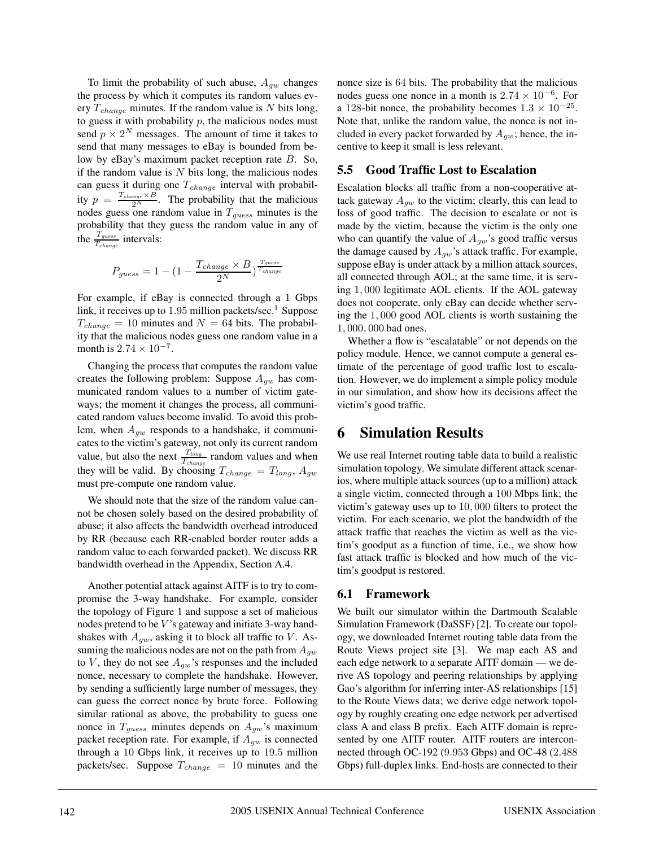To limit the probability of such abuse,  $A_{qw}$  changes the process by which it computes its random values every  $T_{change}$  minutes. If the random value is N bits long, to guess it with probability  $p$ , the malicious nodes must send  $p \times 2^N$  messages. The amount of time it takes to send that many messages to eBay is bounded from below by eBay's maximum packet reception rate B. So, if the random value is  $N$  bits long, the malicious nodes can guess it during one  $T_{change}$  interval with probability  $p = \frac{T_{change} \times B}{2^N}$ . The probability that the malicious nodes guess one random value in  $T_{guess}$  minutes is the probability that they guess the random value in any of the  $\frac{T_{guess}}{T_{change}}$  intervals:

$$
P_{guess} = 1 - \left(1 - \frac{T_{change} \times B}{2^N}\right)^{\frac{T_{guess}}{T_{change}}}
$$

For example, if eBay is connected through a 1 Gbps link, it receives up to  $1.95$  million packets/sec.<sup>1</sup> Suppose  $T_{change} = 10$  minutes and  $N = 64$  bits. The probability that the malicious nodes guess one random value in a month is  $2.74 \times 10^{-7}$ .

Changing the process that computes the random value creates the following problem: Suppose  $A_{qw}$  has communicated random values to a number of victim gateways; the moment it changes the process, all communicated random values become invalid. To avoid this problem, when  $A_{gw}$  responds to a handshake, it communicates to the victim's gateway, not only its current random value, but also the next  $\frac{T_{long}}{T_{change}}$  random values and when they will be valid. By choosing  $T_{change} = T_{long}$ ,  $A_{gw}$ must pre-compute one random value.

We should note that the size of the random value cannot be chosen solely based on the desired probability of abuse; it also affects the bandwidth overhead introduced by RR (because each RR-enabled border router adds a random value to each forwarded packet). We discuss RR bandwidth overhead in the Appendix, Section A.4.

Another potential attack against AITF is to try to compromise the 3-way handshake. For example, consider the topology of Figure 1 and suppose a set of malicious nodes pretend to be  $V$ 's gateway and initiate 3-way handshakes with  $A_{gw}$ , asking it to block all traffic to V. Assuming the malicious nodes are not on the path from  $A_{gw}$ to V, they do not see  $A_{gw}$ 's responses and the included nonce, necessary to complete the handshake. However, by sending a sufficiently large number of messages, they can guess the correct nonce by brute force. Following similar rational as above, the probability to guess one nonce in  $T_{guess}$  minutes depends on  $A_{qw}$ 's maximum packet reception rate. For example, if  $A_{qw}$  is connected through a 10 Gbps link, it receives up to 19.5 million packets/sec. Suppose  $T_{change} = 10$  minutes and the nonce size is 64 bits. The probability that the malicious nodes guess one nonce in a month is  $2.74 \times 10^{-6}$ . For a 128-bit nonce, the probability becomes  $1.3 \times 10^{-25}$ . Note that, unlike the random value, the nonce is not included in every packet forwarded by  $A_{qw}$ ; hence, the incentive to keep it small is less relevant.

### **5.5 Good Traffic Lost to Escalation**

Escalation blocks all traffic from a non-cooperative attack gateway  $A_{gw}$  to the victim; clearly, this can lead to loss of good traffic. The decision to escalate or not is made by the victim, because the victim is the only one who can quantify the value of  $A_{aw}$ 's good traffic versus the damage caused by  $A_{gw}$  's attack traffic. For example, suppose eBay is under attack by a million attack sources, all connected through AOL; at the same time, it is serving 1, 000 legitimate AOL clients. If the AOL gateway does not cooperate, only eBay can decide whether serving the 1, 000 good AOL clients is worth sustaining the 1, 000, 000 bad ones.

Whether a flow is "escalatable" or not depends on the policy module. Hence, we cannot compute a general estimate of the percentage of good traffic lost to escalation. However, we do implement a simple policy module in our simulation, and show how its decisions affect the victim's good traffic.

## **6 Simulation Results**

We use real Internet routing table data to build a realistic simulation topology. We simulate different attack scenarios, where multiple attack sources (up to a million) attack a single victim, connected through a 100 Mbps link; the victim's gateway uses up to 10, 000 filters to protect the victim. For each scenario, we plot the bandwidth of the attack traffic that reaches the victim as well as the victim's goodput as a function of time, i.e., we show how fast attack traffic is blocked and how much of the victim's goodput is restored.

### **6.1 Framework**

We built our simulator within the Dartmouth Scalable Simulation Framework (DaSSF) [2]. To create our topology, we downloaded Internet routing table data from the Route Views project site [3]. We map each AS and each edge network to a separate AITF domain — we derive AS topology and peering relationships by applying Gao's algorithm for inferring inter-AS relationships [15] to the Route Views data; we derive edge network topology by roughly creating one edge network per advertised class A and class B prefix. Each AITF domain is represented by one AITF router. AITF routers are interconnected through OC-192 (9.953 Gbps) and OC-48 (2.488 Gbps) full-duplex links. End-hosts are connected to their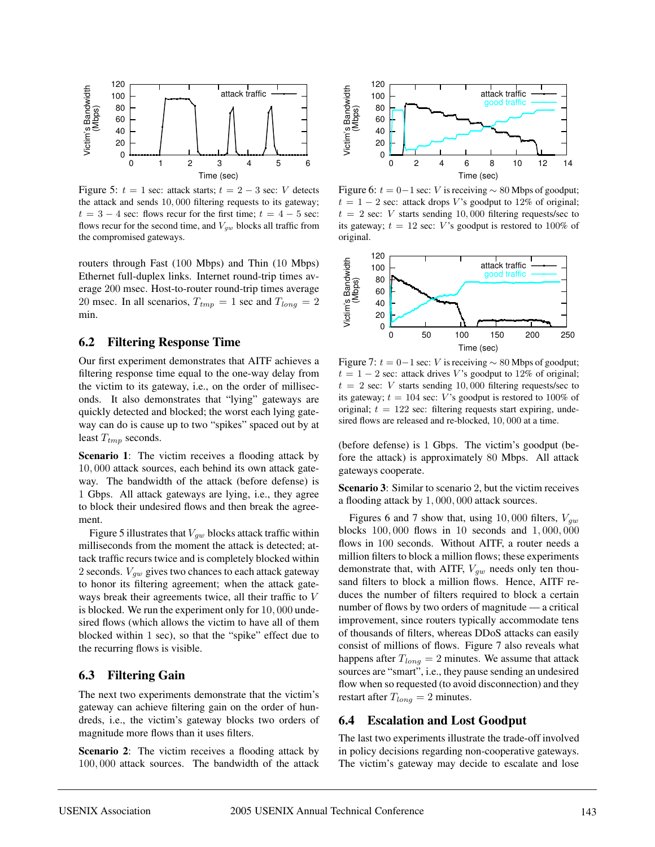

Figure 5:  $t = 1$  sec: attack starts;  $t = 2 - 3$  sec: V detects the attack and sends 10, 000 filtering requests to its gateway;  $t = 3 - 4$  sec: flows recur for the first time;  $t = 4 - 5$  sec: flows recur for the second time, and  $V_{gw}$  blocks all traffic from the compromised gateways.

routers through Fast (100 Mbps) and Thin (10 Mbps) Ethernet full-duplex links. Internet round-trip times average 200 msec. Host-to-router round-trip times average 20 msec. In all scenarios,  $T_{tmp} = 1$  sec and  $T_{long} = 2$ min.

#### **6.2 Filtering Response Time**

Our first experiment demonstrates that AITF achieves a filtering response time equal to the one-way delay from the victim to its gateway, i.e., on the order of milliseconds. It also demonstrates that "lying" gateways are quickly detected and blocked; the worst each lying gateway can do is cause up to two "spikes" spaced out by at least  $T_{tmp}$  seconds.

**Scenario 1**: The victim receives a flooding attack by 10, 000 attack sources, each behind its own attack gateway. The bandwidth of the attack (before defense) is 1 Gbps. All attack gateways are lying, i.e., they agree to block their undesired flows and then break the agreement.

Figure 5 illustrates that  $V_{gw}$  blocks attack traffic within milliseconds from the moment the attack is detected; attack traffic recurs twice and is completely blocked within 2 seconds.  $V_{qw}$  gives two chances to each attack gateway to honor its filtering agreement; when the attack gateways break their agreements twice, all their traffic to V is blocked. We run the experiment only for 10, 000 undesired flows (which allows the victim to have all of them blocked within 1 sec), so that the "spike" effect due to the recurring flows is visible.

#### **6.3 Filtering Gain**

The next two experiments demonstrate that the victim's gateway can achieve filtering gain on the order of hundreds, i.e., the victim's gateway blocks two orders of magnitude more flows than it uses filters.

**Scenario 2**: The victim receives a flooding attack by 100, 000 attack sources. The bandwidth of the attack



Figure 6:  $t = 0-1$  sec: V is receiving  $\sim 80$  Mbps of goodput;  $t = 1 - 2$  sec: attack drops V's goodput to 12% of original;  $t = 2$  sec: V starts sending 10,000 filtering requests/sec to its gateway;  $t = 12$  sec: V's goodput is restored to 100% of original.



Figure 7:  $t = 0-1$  sec: V is receiving  $\sim 80$  Mbps of goodput;  $t = 1 - 2$  sec: attack drives V's goodput to 12% of original;  $t = 2$  sec: V starts sending 10,000 filtering requests/sec to its gateway;  $t = 104$  sec: V's goodput is restored to 100% of original;  $t = 122$  sec: filtering requests start expiring, undesired flows are released and re-blocked, 10, 000 at a time.

(before defense) is 1 Gbps. The victim's goodput (before the attack) is approximately 80 Mbps. All attack gateways cooperate.

**Scenario 3**: Similar to scenario 2, but the victim receives a flooding attack by 1, 000, 000 attack sources.

Figures 6 and 7 show that, using 10,000 filters,  $V_{gw}$ blocks 100, 000 flows in 10 seconds and 1, 000, 000 flows in 100 seconds. Without AITF, a router needs a million filters to block a million flows; these experiments demonstrate that, with AITF,  $V_{gw}$  needs only ten thousand filters to block a million flows. Hence, AITF reduces the number of filters required to block a certain number of flows by two orders of magnitude — a critical improvement, since routers typically accommodate tens of thousands of filters, whereas DDoS attacks can easily consist of millions of flows. Figure 7 also reveals what happens after  $T_{long} = 2$  minutes. We assume that attack sources are "smart", i.e., they pause sending an undesired flow when so requested (to avoid disconnection) and they restart after  $T_{long} = 2$  minutes.

#### **6.4 Escalation and Lost Goodput**

The last two experiments illustrate the trade-off involved in policy decisions regarding non-cooperative gateways. The victim's gateway may decide to escalate and lose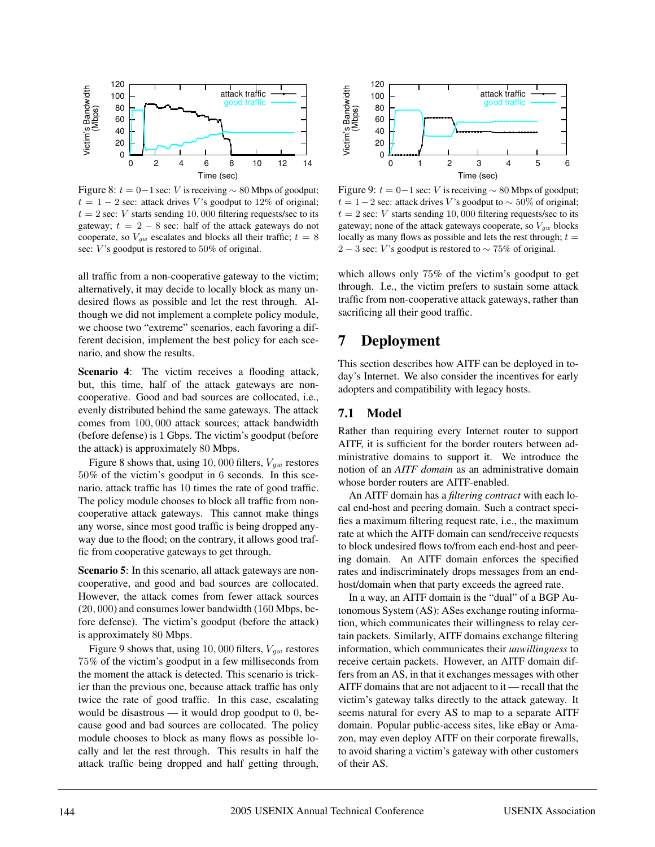

Figure 8:  $t = 0-1$  sec: V is receiving  $\sim 80$  Mbps of goodput;  $t = 1 - 2$  sec: attack drives V's goodput to 12% of original;  $t = 2$  sec: V starts sending 10,000 filtering requests/sec to its gateway;  $t = 2 - 8$  sec: half of the attack gateways do not cooperate, so  $V_{gw}$  escalates and blocks all their traffic;  $t = 8$ sec:  $V$ 's goodput is restored to 50% of original.

all traffic from a non-cooperative gateway to the victim; alternatively, it may decide to locally block as many undesired flows as possible and let the rest through. Although we did not implement a complete policy module, we choose two "extreme" scenarios, each favoring a different decision, implement the best policy for each scenario, and show the results.

**Scenario 4**: The victim receives a flooding attack, but, this time, half of the attack gateways are noncooperative. Good and bad sources are collocated, i.e., evenly distributed behind the same gateways. The attack comes from 100, 000 attack sources; attack bandwidth (before defense) is 1 Gbps. The victim's goodput (before the attack) is approximately 80 Mbps.

Figure 8 shows that, using 10,000 filters,  $V_{gw}$  restores 50% of the victim's goodput in 6 seconds. In this scenario, attack traffic has 10 times the rate of good traffic. The policy module chooses to block all traffic from noncooperative attack gateways. This cannot make things any worse, since most good traffic is being dropped anyway due to the flood; on the contrary, it allows good traffic from cooperative gateways to get through.

**Scenario 5**: In this scenario, all attack gateways are noncooperative, and good and bad sources are collocated. However, the attack comes from fewer attack sources (20, 000) and consumes lower bandwidth (160 Mbps, before defense). The victim's goodput (before the attack) is approximately 80 Mbps.

Figure 9 shows that, using 10, 000 filters,  $V_{aw}$  restores 75% of the victim's goodput in a few milliseconds from the moment the attack is detected. This scenario is trickier than the previous one, because attack traffic has only twice the rate of good traffic. In this case, escalating would be disastrous — it would drop goodput to  $0$ , because good and bad sources are collocated. The policy module chooses to block as many flows as possible locally and let the rest through. This results in half the attack traffic being dropped and half getting through,



Figure 9:  $t = 0-1$  sec: V is receiving  $\sim 80$  Mbps of goodput;  $t = 1-2$  sec: attack drives V's goodput to  $\sim 50\%$  of original;  $t = 2$  sec: V starts sending 10,000 filtering requests/sec to its gateway; none of the attack gateways cooperate, so  $V_{qw}$  blocks locally as many flows as possible and lets the rest through;  $t =$ 2 − 3 sec: V's goodput is restored to  $\sim$  75% of original.

which allows only 75% of the victim's goodput to get through. I.e., the victim prefers to sustain some attack traffic from non-cooperative attack gateways, rather than sacrificing all their good traffic.

## **7 Deployment**

This section describes how AITF can be deployed in today's Internet. We also consider the incentives for early adopters and compatibility with legacy hosts.

### **7.1 Model**

Rather than requiring every Internet router to support AITF, it is sufficient for the border routers between administrative domains to support it. We introduce the notion of an *AITF domain* as an administrative domain whose border routers are AITF-enabled.

An AITF domain has a *filtering contract* with each local end-host and peering domain. Such a contract specifies a maximum filtering request rate, i.e., the maximum rate at which the AITF domain can send/receive requests to block undesired flows to/from each end-host and peering domain. An AITF domain enforces the specified rates and indiscriminately drops messages from an endhost/domain when that party exceeds the agreed rate.

In a way, an AITF domain is the "dual" of a BGP Autonomous System (AS): ASes exchange routing information, which communicates their willingness to relay certain packets. Similarly, AITF domains exchange filtering information, which communicates their *unwillingness* to receive certain packets. However, an AITF domain differs from an AS, in that it exchanges messages with other AITF domains that are not adjacent to it — recall that the victim's gateway talks directly to the attack gateway. It seems natural for every AS to map to a separate AITF domain. Popular public-access sites, like eBay or Amazon, may even deploy AITF on their corporate firewalls, to avoid sharing a victim's gateway with other customers of their AS.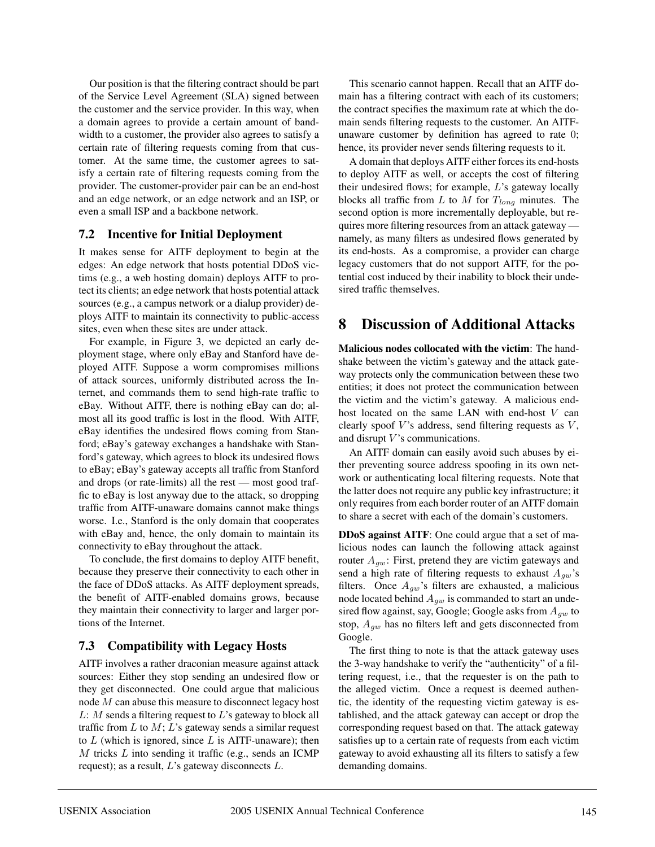Our position is that the filtering contract should be part of the Service Level Agreement (SLA) signed between the customer and the service provider. In this way, when a domain agrees to provide a certain amount of bandwidth to a customer, the provider also agrees to satisfy a certain rate of filtering requests coming from that customer. At the same time, the customer agrees to satisfy a certain rate of filtering requests coming from the provider. The customer-provider pair can be an end-host and an edge network, or an edge network and an ISP, or even a small ISP and a backbone network.

### **7.2 Incentive for Initial Deployment**

It makes sense for AITF deployment to begin at the edges: An edge network that hosts potential DDoS victims (e.g., a web hosting domain) deploys AITF to protect its clients; an edge network that hosts potential attack sources (e.g., a campus network or a dialup provider) deploys AITF to maintain its connectivity to public-access sites, even when these sites are under attack.

For example, in Figure 3, we depicted an early deployment stage, where only eBay and Stanford have deployed AITF. Suppose a worm compromises millions of attack sources, uniformly distributed across the Internet, and commands them to send high-rate traffic to eBay. Without AITF, there is nothing eBay can do; almost all its good traffic is lost in the flood. With AITF, eBay identifies the undesired flows coming from Stanford; eBay's gateway exchanges a handshake with Stanford's gateway, which agrees to block its undesired flows to eBay; eBay's gateway accepts all traffic from Stanford and drops (or rate-limits) all the rest — most good traffic to eBay is lost anyway due to the attack, so dropping traffic from AITF-unaware domains cannot make things worse. I.e., Stanford is the only domain that cooperates with eBay and, hence, the only domain to maintain its connectivity to eBay throughout the attack.

To conclude, the first domains to deploy AITF benefit, because they preserve their connectivity to each other in the face of DDoS attacks. As AITF deployment spreads, the benefit of AITF-enabled domains grows, because they maintain their connectivity to larger and larger portions of the Internet.

### **7.3 Compatibility with Legacy Hosts**

AITF involves a rather draconian measure against attack sources: Either they stop sending an undesired flow or they get disconnected. One could argue that malicious node M can abuse this measure to disconnect legacy host  $L: M$  sends a filtering request to  $L$ 's gateway to block all traffic from  $L$  to  $M; L$ 's gateway sends a similar request to  $L$  (which is ignored, since  $L$  is AITF-unaware); then M tricks L into sending it traffic (e.g., sends an ICMP request); as a result,  $L$ 's gateway disconnects  $L$ .

This scenario cannot happen. Recall that an AITF domain has a filtering contract with each of its customers; the contract specifies the maximum rate at which the domain sends filtering requests to the customer. An AITFunaware customer by definition has agreed to rate 0; hence, its provider never sends filtering requests to it.

A domain that deploys AITF either forces its end-hosts to deploy AITF as well, or accepts the cost of filtering their undesired flows; for example, L's gateway locally blocks all traffic from L to M for  $T_{long}$  minutes. The second option is more incrementally deployable, but requires more filtering resources from an attack gateway namely, as many filters as undesired flows generated by its end-hosts. As a compromise, a provider can charge legacy customers that do not support AITF, for the potential cost induced by their inability to block their undesired traffic themselves.

## **8 Discussion of Additional Attacks**

**Malicious nodes collocated with the victim**: The handshake between the victim's gateway and the attack gateway protects only the communication between these two entities; it does not protect the communication between the victim and the victim's gateway. A malicious endhost located on the same LAN with end-host V can clearly spoof  $V$ 's address, send filtering requests as  $V$ , and disrupt  $V$ 's communications.

An AITF domain can easily avoid such abuses by either preventing source address spoofing in its own network or authenticating local filtering requests. Note that the latter does not require any public key infrastructure; it only requires from each border router of an AITF domain to share a secret with each of the domain's customers.

**DDoS against AITF**: One could argue that a set of malicious nodes can launch the following attack against router  $A_{qw}$ : First, pretend they are victim gateways and send a high rate of filtering requests to exhaust  $A_{gw}$ 's filters. Once  $A_{qw}$ 's filters are exhausted, a malicious node located behind  $A_{gw}$  is commanded to start an undesired flow against, say, Google; Google asks from  $A_{gw}$  to stop,  $A_{gw}$  has no filters left and gets disconnected from Google.

The first thing to note is that the attack gateway uses the 3-way handshake to verify the "authenticity" of a filtering request, i.e., that the requester is on the path to the alleged victim. Once a request is deemed authentic, the identity of the requesting victim gateway is established, and the attack gateway can accept or drop the corresponding request based on that. The attack gateway satisfies up to a certain rate of requests from each victim gateway to avoid exhausting all its filters to satisfy a few demanding domains.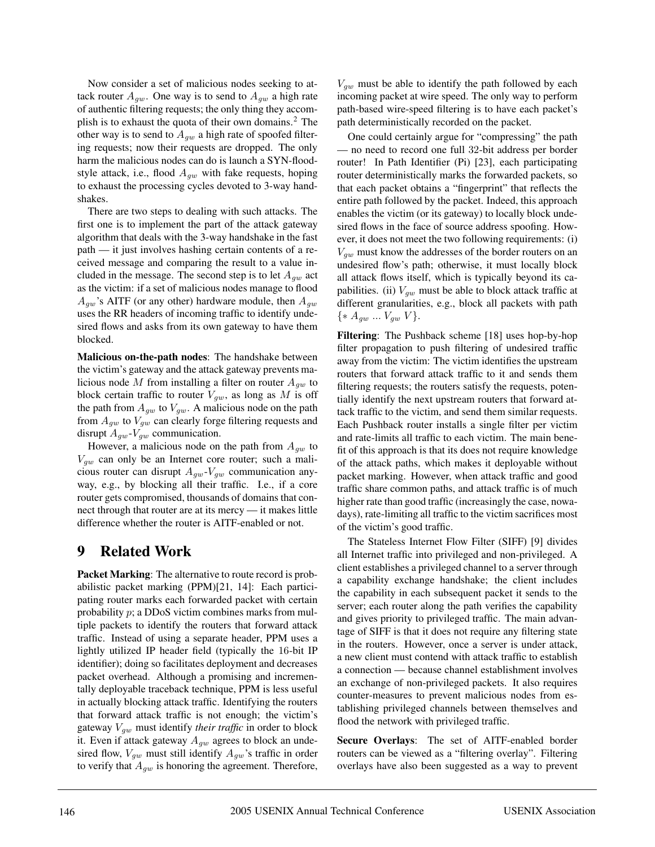Now consider a set of malicious nodes seeking to attack router  $A_{qw}$ . One way is to send to  $A_{qw}$  a high rate of authentic filtering requests; the only thing they accomplish is to exhaust the quota of their own domains.<sup>2</sup> The other way is to send to  $A_{qw}$  a high rate of spoofed filtering requests; now their requests are dropped. The only harm the malicious nodes can do is launch a SYN-floodstyle attack, i.e., flood  $A_{gw}$  with fake requests, hoping to exhaust the processing cycles devoted to 3-way handshakes.

There are two steps to dealing with such attacks. The first one is to implement the part of the attack gateway algorithm that deals with the 3-way handshake in the fast path — it just involves hashing certain contents of a received message and comparing the result to a value included in the message. The second step is to let  $A_{qw}$  act as the victim: if a set of malicious nodes manage to flood  $A_{qw}$ 's AITF (or any other) hardware module, then  $A_{qw}$ uses the RR headers of incoming traffic to identify undesired flows and asks from its own gateway to have them blocked.

**Malicious on-the-path nodes**: The handshake between the victim's gateway and the attack gateway prevents malicious node M from installing a filter on router  $A_{qw}$  to block certain traffic to router  $V_{qw}$ , as long as M is off the path from  $A_{gw}$  to  $V_{gw}$ . A malicious node on the path from  $A_{qw}$  to  $V_{qw}$  can clearly forge filtering requests and disrupt  $A_{qw}$ - $V_{qw}$  communication.

However, a malicious node on the path from  $A_{gw}$  to  $V_{qw}$  can only be an Internet core router; such a malicious router can disrupt  $A_{gw}$ - $V_{gw}$  communication anyway, e.g., by blocking all their traffic. I.e., if a core router gets compromised, thousands of domains that connect through that router are at its mercy — it makes little difference whether the router is AITF-enabled or not.

## **9 Related Work**

**Packet Marking**: The alternative to route record is probabilistic packet marking (PPM)[21, 14]: Each participating router marks each forwarded packet with certain probability  $p$ ; a DDoS victim combines marks from multiple packets to identify the routers that forward attack traffic. Instead of using a separate header, PPM uses a lightly utilized IP header field (typically the 16-bit IP identifier); doing so facilitates deployment and decreases packet overhead. Although a promising and incrementally deployable traceback technique, PPM is less useful in actually blocking attack traffic. Identifying the routers that forward attack traffic is not enough; the victim's gateway  $V_{gw}$  must identify *their traffic* in order to block it. Even if attack gateway  $A_{gw}$  agrees to block an undesired flow,  $V_{qw}$  must still identify  $A_{qw}$ 's traffic in order to verify that  $A_{qw}$  is honoring the agreement. Therefore,

 $V_{gw}$  must be able to identify the path followed by each incoming packet at wire speed. The only way to perform path-based wire-speed filtering is to have each packet's path deterministically recorded on the packet.

One could certainly argue for "compressing" the path — no need to record one full 32-bit address per border router! In Path Identifier (Pi) [23], each participating router deterministically marks the forwarded packets, so that each packet obtains a "fingerprint" that reflects the entire path followed by the packet. Indeed, this approach enables the victim (or its gateway) to locally block undesired flows in the face of source address spoofing. However, it does not meet the two following requirements: (i)  $V_{qw}$  must know the addresses of the border routers on an undesired flow's path; otherwise, it must locally block all attack flows itself, which is typically beyond its capabilities. (ii)  $V_{gw}$  must be able to block attack traffic at different granularities, e.g., block all packets with path  $\{ * A_{gw} ... V_{gw} V \}.$ 

**Filtering**: The Pushback scheme [18] uses hop-by-hop filter propagation to push filtering of undesired traffic away from the victim: The victim identifies the upstream routers that forward attack traffic to it and sends them filtering requests; the routers satisfy the requests, potentially identify the next upstream routers that forward attack traffic to the victim, and send them similar requests. Each Pushback router installs a single filter per victim and rate-limits all traffic to each victim. The main benefit of this approach is that its does not require knowledge of the attack paths, which makes it deployable without packet marking. However, when attack traffic and good traffic share common paths, and attack traffic is of much higher rate than good traffic (increasingly the case, nowadays), rate-limiting all traffic to the victim sacrifices most of the victim's good traffic.

The Stateless Internet Flow Filter (SIFF) [9] divides all Internet traffic into privileged and non-privileged. A client establishes a privileged channel to a server through a capability exchange handshake; the client includes the capability in each subsequent packet it sends to the server; each router along the path verifies the capability and gives priority to privileged traffic. The main advantage of SIFF is that it does not require any filtering state in the routers. However, once a server is under attack, a new client must contend with attack traffic to establish a connection — because channel establishment involves an exchange of non-privileged packets. It also requires counter-measures to prevent malicious nodes from establishing privileged channels between themselves and flood the network with privileged traffic.

**Secure Overlays**: The set of AITF-enabled border routers can be viewed as a "filtering overlay". Filtering overlays have also been suggested as a way to prevent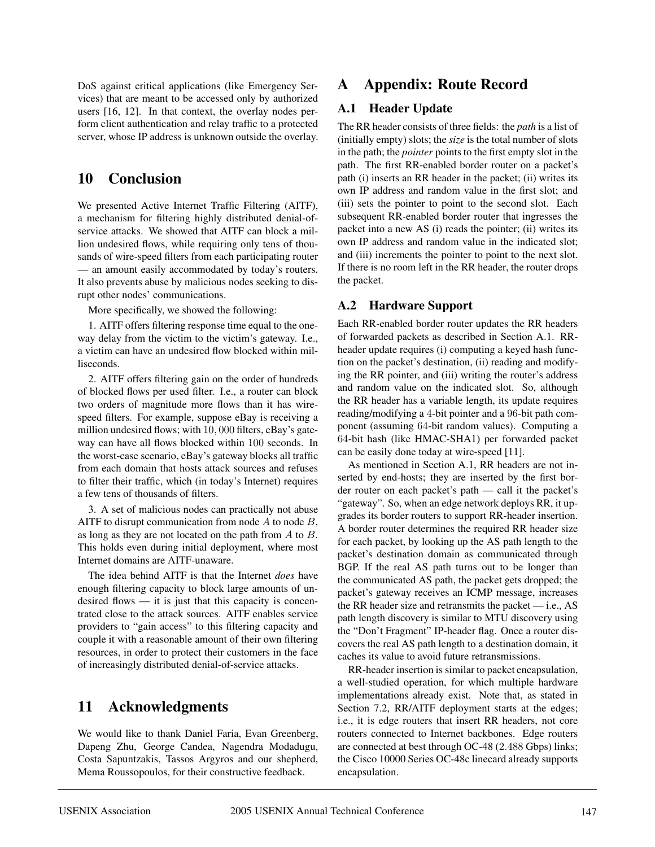DoS against critical applications (like Emergency Services) that are meant to be accessed only by authorized users [16, 12]. In that context, the overlay nodes perform client authentication and relay traffic to a protected server, whose IP address is unknown outside the overlay.

## **10 Conclusion**

We presented Active Internet Traffic Filtering (AITF), a mechanism for filtering highly distributed denial-ofservice attacks. We showed that AITF can block a million undesired flows, while requiring only tens of thousands of wire-speed filters from each participating router — an amount easily accommodated by today's routers. It also prevents abuse by malicious nodes seeking to disrupt other nodes' communications.

More specifically, we showed the following:

1. AITF offers filtering response time equal to the oneway delay from the victim to the victim's gateway. I.e., a victim can have an undesired flow blocked within milliseconds.

2. AITF offers filtering gain on the order of hundreds of blocked flows per used filter. I.e., a router can block two orders of magnitude more flows than it has wirespeed filters. For example, suppose eBay is receiving a million undesired flows; with 10, 000 filters, eBay's gateway can have all flows blocked within 100 seconds. In the worst-case scenario, eBay's gateway blocks all traffic from each domain that hosts attack sources and refuses to filter their traffic, which (in today's Internet) requires a few tens of thousands of filters.

3. A set of malicious nodes can practically not abuse AITF to disrupt communication from node  $A$  to node  $B$ , as long as they are not located on the path from  $A$  to  $B$ . This holds even during initial deployment, where most Internet domains are AITF-unaware.

The idea behind AITF is that the Internet *does* have enough filtering capacity to block large amounts of undesired flows  $-$  it is just that this capacity is concentrated close to the attack sources. AITF enables service providers to "gain access" to this filtering capacity and couple it with a reasonable amount of their own filtering resources, in order to protect their customers in the face of increasingly distributed denial-of-service attacks.

## **11 Acknowledgments**

We would like to thank Daniel Faria, Evan Greenberg, Dapeng Zhu, George Candea, Nagendra Modadugu, Costa Sapuntzakis, Tassos Argyros and our shepherd, Mema Roussopoulos, for their constructive feedback.

## **A Appendix: Route Record**

## **A.1 Header Update**

The RR header consists of three fields: the *path* is a list of (initially empty) slots; the *size* is the total number of slots in the path; the *pointer* points to the first empty slot in the path. The first RR-enabled border router on a packet's path (i) inserts an RR header in the packet; (ii) writes its own IP address and random value in the first slot; and (iii) sets the pointer to point to the second slot. Each subsequent RR-enabled border router that ingresses the packet into a new AS (i) reads the pointer; (ii) writes its own IP address and random value in the indicated slot; and (iii) increments the pointer to point to the next slot. If there is no room left in the RR header, the router drops the packet.

## **A.2 Hardware Support**

Each RR-enabled border router updates the RR headers of forwarded packets as described in Section A.1. RRheader update requires (i) computing a keyed hash function on the packet's destination, (ii) reading and modifying the RR pointer, and (iii) writing the router's address and random value on the indicated slot. So, although the RR header has a variable length, its update requires reading/modifying a 4-bit pointer and a 96-bit path component (assuming 64-bit random values). Computing a 64-bit hash (like HMAC-SHA1) per forwarded packet can be easily done today at wire-speed [11].

As mentioned in Section A.1, RR headers are not inserted by end-hosts; they are inserted by the first border router on each packet's path — call it the packet's "gateway". So, when an edge network deploys RR, it upgrades its border routers to support RR-header insertion. A border router determines the required RR header size for each packet, by looking up the AS path length to the packet's destination domain as communicated through BGP. If the real AS path turns out to be longer than the communicated AS path, the packet gets dropped; the packet's gateway receives an ICMP message, increases the RR header size and retransmits the packet — i.e., AS path length discovery is similar to MTU discovery using the "Don't Fragment" IP-header flag. Once a router discovers the real AS path length to a destination domain, it caches its value to avoid future retransmissions.

RR-header insertion is similar to packet encapsulation, a well-studied operation, for which multiple hardware implementations already exist. Note that, as stated in Section 7.2, RR/AITF deployment starts at the edges; i.e., it is edge routers that insert RR headers, not core routers connected to Internet backbones. Edge routers are connected at best through OC-48 (2.488 Gbps) links; the Cisco 10000 Series OC-48c linecard already supports encapsulation.